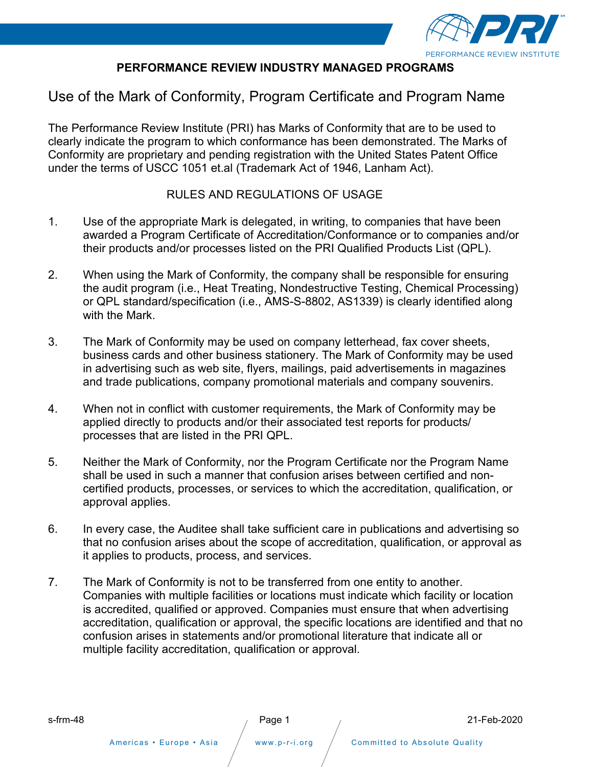

## **PERFORMANCE REVIEW INDUSTRY MANAGED PROGRAMS**

## Use of the Mark of Conformity, Program Certificate and Program Name

The Performance Review Institute (PRI) has Marks of Conformity that are to be used to clearly indicate the program to which conformance has been demonstrated. The Marks of Conformity are proprietary and pending registration with the United States Patent Office under the terms of USCC 1051 et.al (Trademark Act of 1946, Lanham Act).

### RULES AND REGULATIONS OF USAGE

- 1. Use of the appropriate Mark is delegated, in writing, to companies that have been awarded a Program Certificate of Accreditation/Conformance or to companies and/or their products and/or processes listed on the PRI Qualified Products List (QPL).
- 2. When using the Mark of Conformity, the company shall be responsible for ensuring the audit program (i.e., Heat Treating, Nondestructive Testing, Chemical Processing) or QPL standard/specification (i.e., AMS-S-8802, AS1339) is clearly identified along with the Mark.
- 3. The Mark of Conformity may be used on company letterhead, fax cover sheets, business cards and other business stationery. The Mark of Conformity may be used in advertising such as web site, flyers, mailings, paid advertisements in magazines and trade publications, company promotional materials and company souvenirs.
- 4. When not in conflict with customer requirements, the Mark of Conformity may be applied directly to products and/or their associated test reports for products/ processes that are listed in the PRI QPL.
- 5. Neither the Mark of Conformity, nor the Program Certificate nor the Program Name shall be used in such a manner that confusion arises between certified and noncertified products, processes, or services to which the accreditation, qualification, or approval applies.
- 6. In every case, the Auditee shall take sufficient care in publications and advertising so that no confusion arises about the scope of accreditation, qualification, or approval as it applies to products, process, and services.
- 7. The Mark of Conformity is not to be transferred from one entity to another. Companies with multiple facilities or locations must indicate which facility or location is accredited, qualified or approved. Companies must ensure that when advertising accreditation, qualification or approval, the specific locations are identified and that no confusion arises in statements and/or promotional literature that indicate all or multiple facility accreditation, qualification or approval.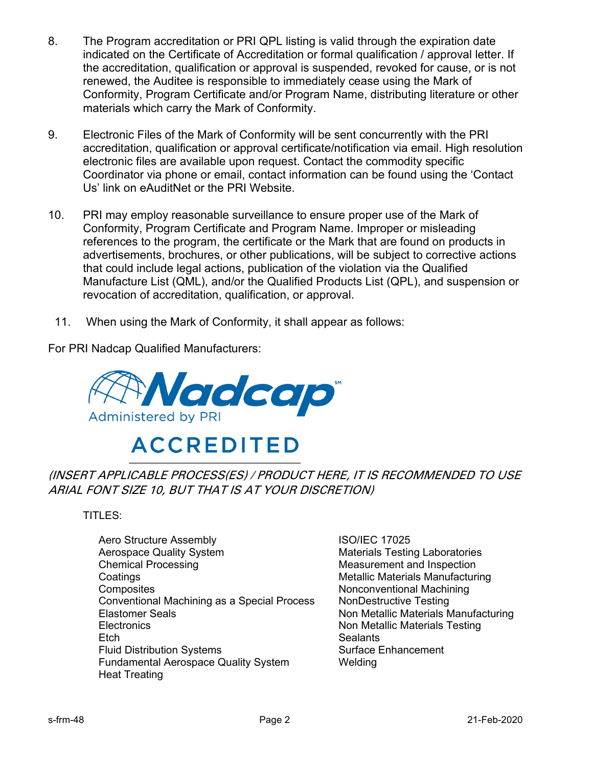- 8. The Program accreditation or PRI QPL listing is valid through the expiration date indicated on the Certificate of Accreditation or formal qualification / approval letter. If the accreditation, qualification or approval is suspended, revoked for cause, or is not renewed, the Auditee is responsible to immediately cease using the Mark of Conformity, Program Certificate and/or Program Name, distributing literature or other materials which carry the Mark of Conformity.
- 9. Electronic Files of the Mark of Conformity will be sent concurrently with the PRI accreditation, qualification or approval certificate/notification via email. High resolution electronic files are available upon request. Contact the commodity specific Coordinator via phone or email, contact information can be found using the 'Contact Us' link on eAuditNet or the PRI Website.
- 10. PRI may employ reasonable surveillance to ensure proper use of the Mark of Conformity, Program Certificate and Program Name. Improper or misleading references to the program, the certificate or the Mark that are found on products in advertisements, brochures, or other publications, will be subject to corrective actions that could include legal actions, publication of the violation via the Qualified Manufacture List (QML), and/or the Qualified Products List (QPL), and suspension or revocation of accreditation, qualification, or approval.
	- 11. When using the Mark of Conformity, it shall appear as follows:

For PRI Nadcap Qualified Manufacturers:



# **ACCREDITED**

## (INSERT APPLICABLE PROCESS(ES) / PRODUCT HERE, IT IS RECOMMENDED TO USE ARIAL FONT SIZE 10, BUT THAT IS AT YOUR DISCRETION)

TITLES:

Aero Structure Assembly **ISO/IEC 17025** Aerospace Quality System Materials Testing Laboratories Chemical Processing Measurement and Inspection **Coatings Metallic Materials Manufacturing Metallic Materials Manufacturing** Composites **Nonconventional Machining** Conventional Machining as a Special Process NonDestructive Testing Elastomer Seals Non Metallic Materials Manufacturing Electronics **Non Metallic Materials Testing** Etch Sealants Fluid Distribution Systems Surface Enhancement Fundamental Aerospace Quality System Welding Heat Treating